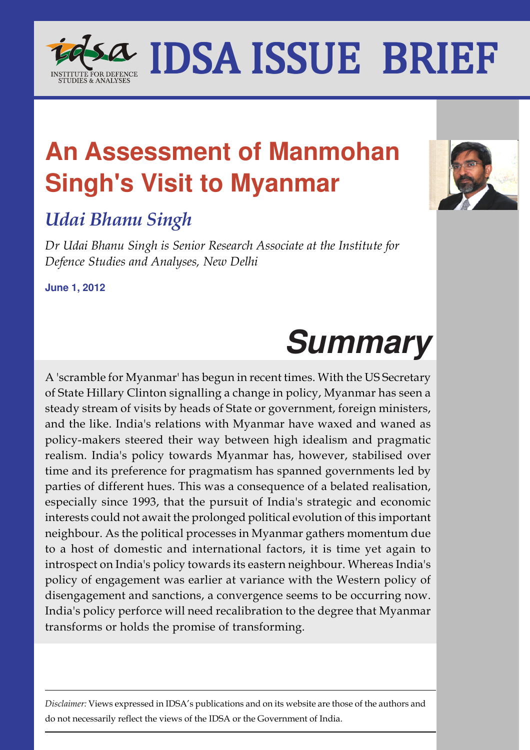## **An Assessment of Manmohan Singh's Visit to Myanmar**

## *Udai Bhanu Singh*

*Dr Udai Bhanu Singh is Senior Research Associate at the Institute for Defence Studies and Analyses, New Delhi*

**June 1, 2012**

# **Summary**

A 'scramble for Myanmar' has begun in recent times. With the US Secretary of State Hillary Clinton signalling a change in policy, Myanmar has seen a steady stream of visits by heads of State or government, foreign ministers, and the like. India's relations with Myanmar have waxed and waned as policy-makers steered their way between high idealism and pragmatic realism. India's policy towards Myanmar has, however, stabilised over time and its preference for pragmatism has spanned governments led by parties of different hues. This was a consequence of a belated realisation, especially since 1993, that the pursuit of India's strategic and economic interests could not await the prolonged political evolution of this important neighbour. As the political processes in Myanmar gathers momentum due to a host of domestic and international factors, it is time yet again to introspect on India's policy towards its eastern neighbour. Whereas India's policy of engagement was earlier at variance with the Western policy of disengagement and sanctions, a convergence seems to be occurring now. India's policy perforce will need recalibration to the degree that Myanmar transforms or holds the promise of transforming.

*Disclaimer:* Views expressed in IDSA's publications and on its website are those of the authors and do not necessarily reflect the views of the IDSA or the Government of India.



### IDSA ISSUE BRIEF I 10 S.A. IDCA ICCIIE DDIE **TITUTE FOR DEFENCE<br>TUDIES & ANALYSES**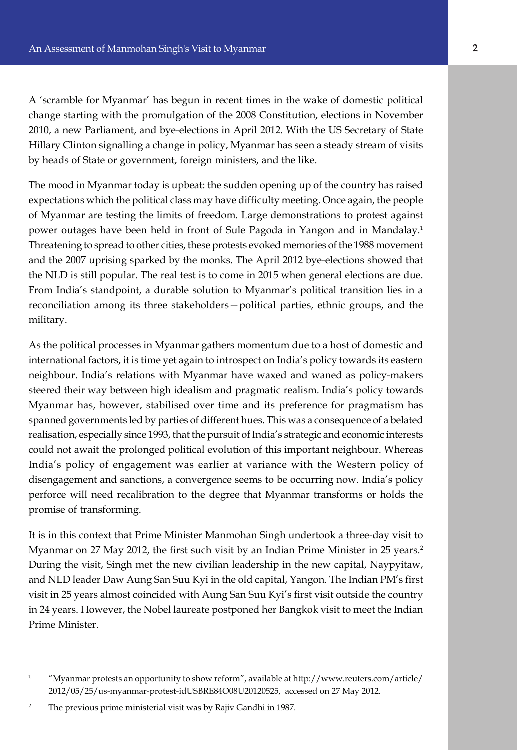A 'scramble for Myanmar' has begun in recent times in the wake of domestic political change starting with the promulgation of the 2008 Constitution, elections in November 2010, a new Parliament, and bye-elections in April 2012. With the US Secretary of State Hillary Clinton signalling a change in policy, Myanmar has seen a steady stream of visits by heads of State or government, foreign ministers, and the like.

The mood in Myanmar today is upbeat: the sudden opening up of the country has raised expectations which the political class may have difficulty meeting. Once again, the people of Myanmar are testing the limits of freedom. Large demonstrations to protest against power outages have been held in front of Sule Pagoda in Yangon and in Mandalay.<sup>1</sup> Threatening to spread to other cities, these protests evoked memories of the 1988 movement and the 2007 uprising sparked by the monks. The April 2012 bye-elections showed that the NLD is still popular. The real test is to come in 2015 when general elections are due. From India's standpoint, a durable solution to Myanmar's political transition lies in a reconciliation among its three stakeholders—political parties, ethnic groups, and the military.

As the political processes in Myanmar gathers momentum due to a host of domestic and international factors, it is time yet again to introspect on India's policy towards its eastern neighbour. India's relations with Myanmar have waxed and waned as policy-makers steered their way between high idealism and pragmatic realism. India's policy towards Myanmar has, however, stabilised over time and its preference for pragmatism has spanned governments led by parties of different hues. This was a consequence of a belated realisation, especially since 1993, that the pursuit of India's strategic and economic interests could not await the prolonged political evolution of this important neighbour. Whereas India's policy of engagement was earlier at variance with the Western policy of disengagement and sanctions, a convergence seems to be occurring now. India's policy perforce will need recalibration to the degree that Myanmar transforms or holds the promise of transforming.

It is in this context that Prime Minister Manmohan Singh undertook a three-day visit to Myanmar on 27 May 2012, the first such visit by an Indian Prime Minister in 25 years.<sup>2</sup> During the visit, Singh met the new civilian leadership in the new capital, Naypyitaw, and NLD leader Daw Aung San Suu Kyi in the old capital, Yangon. The Indian PM's first visit in 25 years almost coincided with Aung San Suu Kyi's first visit outside the country in 24 years. However, the Nobel laureate postponed her Bangkok visit to meet the Indian Prime Minister.

<sup>&</sup>lt;sup>1</sup> "Myanmar protests an opportunity to show reform", available at http://www.reuters.com/article/ 2012/05/25/us-myanmar-protest-idUSBRE84O08U20120525, accessed on 27 May 2012.

<sup>&</sup>lt;sup>2</sup> The previous prime ministerial visit was by Rajiv Gandhi in 1987.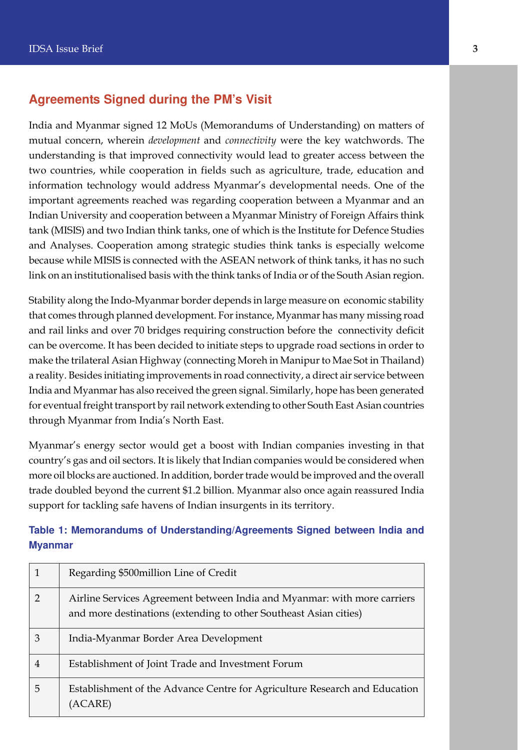#### **Agreements Signed during the PM's Visit**

India and Myanmar signed 12 MoUs (Memorandums of Understanding) on matters of mutual concern, wherein *development* and *connectivity* were the key watchwords. The understanding is that improved connectivity would lead to greater access between the two countries, while cooperation in fields such as agriculture, trade, education and information technology would address Myanmar's developmental needs. One of the important agreements reached was regarding cooperation between a Myanmar and an Indian University and cooperation between a Myanmar Ministry of Foreign Affairs think tank (MISIS) and two Indian think tanks, one of which is the Institute for Defence Studies and Analyses. Cooperation among strategic studies think tanks is especially welcome because while MISIS is connected with the ASEAN network of think tanks, it has no such link on an institutionalised basis with the think tanks of India or of the South Asian region.

Stability along the Indo-Myanmar border depends in large measure on economic stability that comes through planned development. For instance, Myanmar has many missing road and rail links and over 70 bridges requiring construction before the connectivity deficit can be overcome. It has been decided to initiate steps to upgrade road sections in order to make the trilateral Asian Highway (connecting Moreh in Manipur to Mae Sot in Thailand) a reality. Besides initiating improvements in road connectivity, a direct air service between India and Myanmar has also received the green signal. Similarly, hope has been generated for eventual freight transport by rail network extending to other South East Asian countries through Myanmar from India's North East.

Myanmar's energy sector would get a boost with Indian companies investing in that country's gas and oil sectors. It is likely that Indian companies would be considered when more oil blocks are auctioned. In addition, border trade would be improved and the overall trade doubled beyond the current \$1.2 billion. Myanmar also once again reassured India support for tackling safe havens of Indian insurgents in its territory.

#### **Table 1: Memorandums of Understanding/Agreements Signed between India and Myanmar**

| 1              | Regarding \$500 million Line of Credit                                                                                                        |
|----------------|-----------------------------------------------------------------------------------------------------------------------------------------------|
| $\overline{2}$ | Airline Services Agreement between India and Myanmar: with more carriers<br>and more destinations (extending to other Southeast Asian cities) |
| 3              | India-Myanmar Border Area Development                                                                                                         |
| $\overline{4}$ | Establishment of Joint Trade and Investment Forum                                                                                             |
| 5              | Establishment of the Advance Centre for Agriculture Research and Education<br>(ACARE)                                                         |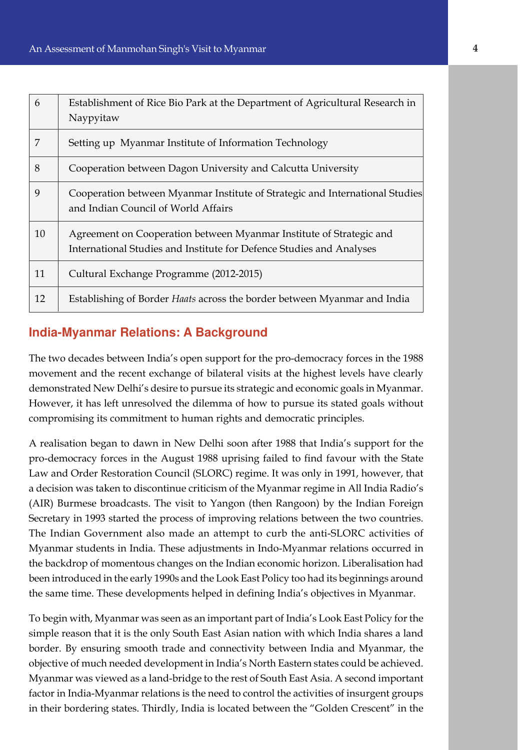| 6  | Establishment of Rice Bio Park at the Department of Agricultural Research in<br>Naypyitaw                                                   |
|----|---------------------------------------------------------------------------------------------------------------------------------------------|
| 7  | Setting up Myanmar Institute of Information Technology                                                                                      |
| 8  | Cooperation between Dagon University and Calcutta University                                                                                |
| 9  | Cooperation between Myanmar Institute of Strategic and International Studies<br>and Indian Council of World Affairs                         |
| 10 | Agreement on Cooperation between Myanmar Institute of Strategic and<br>International Studies and Institute for Defence Studies and Analyses |
| 11 | Cultural Exchange Programme (2012-2015)                                                                                                     |
| 12 | Establishing of Border <i>Haats</i> across the border between Myanmar and India                                                             |

#### **India-Myanmar Relations: A Background**

The two decades between India's open support for the pro-democracy forces in the 1988 movement and the recent exchange of bilateral visits at the highest levels have clearly demonstrated New Delhi's desire to pursue its strategic and economic goals in Myanmar. However, it has left unresolved the dilemma of how to pursue its stated goals without compromising its commitment to human rights and democratic principles.

A realisation began to dawn in New Delhi soon after 1988 that India's support for the pro-democracy forces in the August 1988 uprising failed to find favour with the State Law and Order Restoration Council (SLORC) regime. It was only in 1991, however, that a decision was taken to discontinue criticism of the Myanmar regime in All India Radio's (AIR) Burmese broadcasts. The visit to Yangon (then Rangoon) by the Indian Foreign Secretary in 1993 started the process of improving relations between the two countries. The Indian Government also made an attempt to curb the anti-SLORC activities of Myanmar students in India. These adjustments in Indo-Myanmar relations occurred in the backdrop of momentous changes on the Indian economic horizon. Liberalisation had been introduced in the early 1990s and the Look East Policy too had its beginnings around the same time. These developments helped in defining India's objectives in Myanmar.

To begin with, Myanmar was seen as an important part of India's Look East Policy for the simple reason that it is the only South East Asian nation with which India shares a land border. By ensuring smooth trade and connectivity between India and Myanmar, the objective of much needed development in India's North Eastern states could be achieved. Myanmar was viewed as a land-bridge to the rest of South East Asia. A second important factor in India-Myanmar relations is the need to control the activities of insurgent groups in their bordering states. Thirdly, India is located between the "Golden Crescent" in the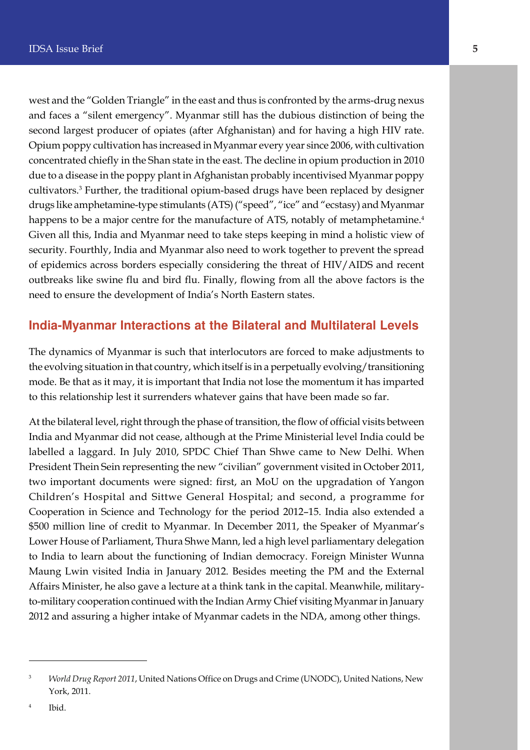west and the "Golden Triangle" in the east and thus is confronted by the arms-drug nexus and faces a "silent emergency". Myanmar still has the dubious distinction of being the second largest producer of opiates (after Afghanistan) and for having a high HIV rate. Opium poppy cultivation has increased in Myanmar every year since 2006, with cultivation concentrated chiefly in the Shan state in the east. The decline in opium production in 2010 due to a disease in the poppy plant in Afghanistan probably incentivised Myanmar poppy cultivators.<sup>3</sup> Further, the traditional opium-based drugs have been replaced by designer drugs like amphetamine-type stimulants (ATS) ("speed", "ice" and "ecstasy) and Myanmar happens to be a major centre for the manufacture of ATS, notably of metamphetamine.<sup>4</sup> Given all this, India and Myanmar need to take steps keeping in mind a holistic view of security. Fourthly, India and Myanmar also need to work together to prevent the spread of epidemics across borders especially considering the threat of HIV/AIDS and recent outbreaks like swine flu and bird flu. Finally, flowing from all the above factors is the need to ensure the development of India's North Eastern states.

#### **India-Myanmar Interactions at the Bilateral and Multilateral Levels**

The dynamics of Myanmar is such that interlocutors are forced to make adjustments to the evolving situation in that country, which itself is in a perpetually evolving/transitioning mode. Be that as it may, it is important that India not lose the momentum it has imparted to this relationship lest it surrenders whatever gains that have been made so far.

At the bilateral level, right through the phase of transition, the flow of official visits between India and Myanmar did not cease, although at the Prime Ministerial level India could be labelled a laggard. In July 2010, SPDC Chief Than Shwe came to New Delhi. When President Thein Sein representing the new "civilian" government visited in October 2011, two important documents were signed: first, an MoU on the upgradation of Yangon Children's Hospital and Sittwe General Hospital; and second, a programme for Cooperation in Science and Technology for the period 2012–15. India also extended a \$500 million line of credit to Myanmar. In December 2011, the Speaker of Myanmar's Lower House of Parliament, Thura Shwe Mann, led a high level parliamentary delegation to India to learn about the functioning of Indian democracy. Foreign Minister Wunna Maung Lwin visited India in January 2012. Besides meeting the PM and the External Affairs Minister, he also gave a lecture at a think tank in the capital. Meanwhile, militaryto-military cooperation continued with the Indian Army Chief visiting Myanmar in January 2012 and assuring a higher intake of Myanmar cadets in the NDA, among other things.

<sup>3</sup> *World Drug Report 2011*, United Nations Office on Drugs and Crime (UNODC), United Nations, New York, 2011.

<sup>4</sup> Ibid.